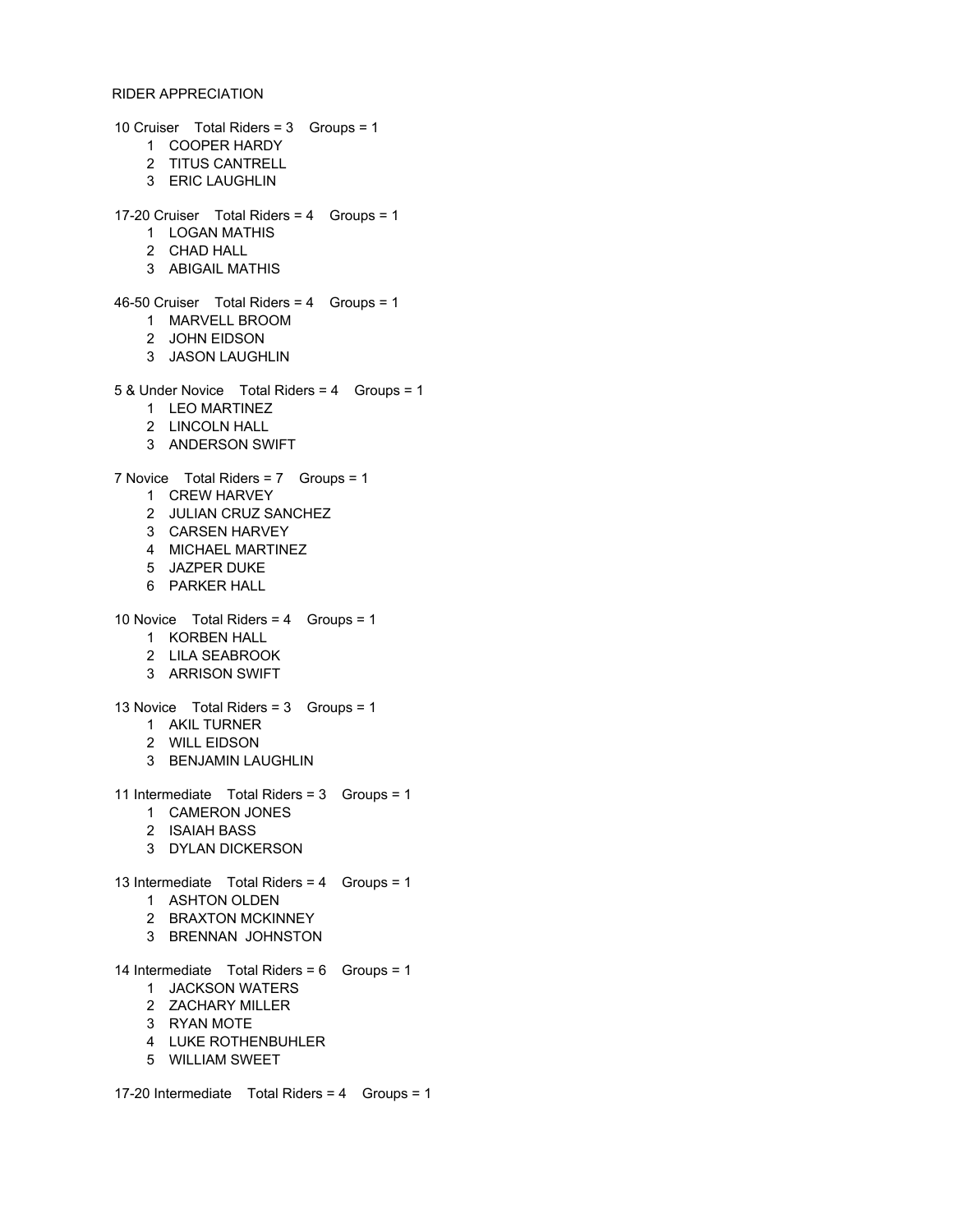## RIDER APPRECIATION

10 Cruiser Total Riders = 3 Groups = 1 COOPER HARDY TITUS CANTRELL ERIC LAUGHLIN 17-20 Cruiser Total Riders = 4 Groups = 1 LOGAN MATHIS CHAD HALL ABIGAIL MATHIS 46-50 Cruiser Total Riders = 4 Groups = 1 MARVELL BROOM JOHN EIDSON JASON LAUGHLIN 5 & Under Novice Total Riders = 4 Groups = 1 LEO MARTINEZ LINCOLN HALL ANDERSON SWIFT 7 Novice Total Riders = 7 Groups = 1 CREW HARVEY JULIAN CRUZ SANCHEZ CARSEN HARVEY MICHAEL MARTINEZ JAZPER DUKE PARKER HALL 10 Novice Total Riders = 4 Groups = 1 KORBEN HALL LILA SEABROOK ARRISON SWIFT 13 Novice Total Riders = 3 Groups = 1 AKIL TURNER WILL EIDSON BENJAMIN LAUGHLIN 11 Intermediate Total Riders = 3 Groups = 1 CAMERON JONES ISAIAH BASS DYLAN DICKERSON 13 Intermediate Total Riders = 4 Groups = 1 ASHTON OLDEN BRAXTON MCKINNEY BRENNAN JOHNSTON 14 Intermediate Total Riders = 6 Groups = 1 JACKSON WATERS ZACHARY MILLER RYAN MOTE LUKE ROTHENBUHLER WILLIAM SWEET

17-20 Intermediate Total Riders = 4 Groups = 1